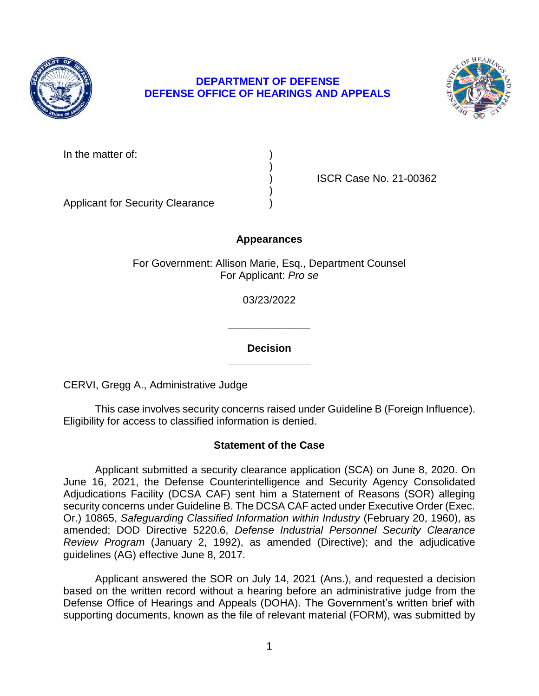

# **DEPARTMENT OF DEFENSE DEFENSE OFFICE OF HEARINGS AND APPEALS**



| In the matter of: |  |
|-------------------|--|
|                   |  |

) ISCR Case No. 21-00362

Applicant for Security Clearance )

# **Appearances**

)

)

For Government: Allison Marie, Esq., Department Counsel For Applicant: *Pro se* 

03/23/2022

**\_\_\_\_\_\_\_\_\_\_\_\_\_\_ Decision** 

**\_\_\_\_\_\_\_\_\_\_\_\_\_\_** 

CERVI, Gregg A., Administrative Judge

 This case involves security concerns raised under Guideline B (Foreign Influence). Eligibility for access to classified information is denied.

# **Statement of the Case**

 Applicant submitted a security clearance application (SCA) on June 8, 2020. On June 16, 2021, the Defense Counterintelligence and Security Agency Consolidated  Or.) 10865, *Safeguarding Classified Information within Industry* (February 20, 1960), as *Review Program* (January 2, 1992), as amended (Directive); and the adjudicative Adjudications Facility (DCSA CAF) sent him a Statement of Reasons (SOR) alleging security concerns under Guideline B. The DCSA CAF acted under Executive Order (Exec. amended; DOD Directive 5220.6, *Defense Industrial Personnel Security Clearance*  guidelines (AG) effective June 8, 2017.

 Applicant answered the SOR on July 14, 2021 (Ans.), and requested a decision based on the written record without a hearing before an administrative judge from the Defense Office of Hearings and Appeals (DOHA). The Government's written brief with supporting documents, known as the file of relevant material (FORM), was submitted by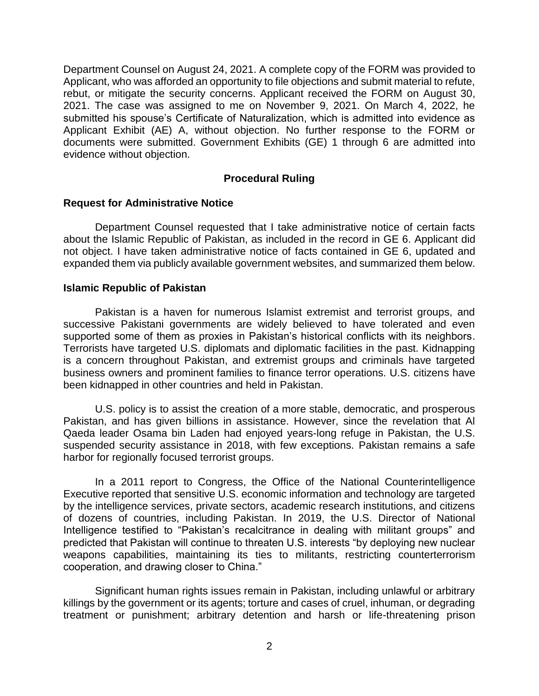Department Counsel on August 24, 2021. A complete copy of the FORM was provided to Applicant, who was afforded an opportunity to file objections and submit material to refute, rebut, or mitigate the security concerns. Applicant received the FORM on August 30, 2021. The case was assigned to me on November 9, 2021. On March 4, 2022, he submitted his spouse's Certificate of Naturalization, which is admitted into evidence as Applicant Exhibit (AE) A, without objection. No further response to the FORM or documents were submitted. Government Exhibits (GE) 1 through 6 are admitted into evidence without objection.

### **Procedural Ruling**

### **Request for Administrative Notice**

 Department Counsel requested that I take administrative notice of certain facts about the Islamic Republic of Pakistan, as included in the record in GE 6. Applicant did not object. I have taken administrative notice of facts contained in GE 6, updated and expanded them via publicly available government websites, and summarized them below.

### **Islamic Republic of Pakistan**

 Pakistan is a haven for numerous Islamist extremist and terrorist groups, and successive Pakistani governments are widely believed to have tolerated and even supported some of them as proxies in Pakistan's historical conflicts with its neighbors. Terrorists have targeted U.S. diplomats and diplomatic facilities in the past. Kidnapping is a concern throughout Pakistan, and extremist groups and criminals have targeted business owners and prominent families to finance terror operations. U.S. citizens have been kidnapped in other countries and held in Pakistan.

U.S. policy is to assist the creation of a more stable, democratic, and prosperous Pakistan, and has given billions in assistance. However, since the revelation that Al Qaeda leader Osama bin Laden had enjoyed years-long refuge in Pakistan, the U.S. suspended security assistance in 2018, with few exceptions. Pakistan remains a safe harbor for regionally focused terrorist groups.

 In a 2011 report to Congress, the Office of the National Counterintelligence Executive reported that sensitive U.S. economic information and technology are targeted by the intelligence services, private sectors, academic research institutions, and citizens of dozens of countries, including Pakistan. In 2019, the U.S. Director of National Intelligence testified to "Pakistan's recalcitrance in dealing with militant groups" and predicted that Pakistan will continue to threaten U.S. interests "by deploying new nuclear weapons capabilities, maintaining its ties to militants, restricting counterterrorism cooperation, and drawing closer to China."

 killings by the government or its agents; torture and cases of cruel, inhuman, or degrading treatment or punishment; arbitrary detention and harsh or life-threatening prison Significant human rights issues remain in Pakistan, including unlawful or arbitrary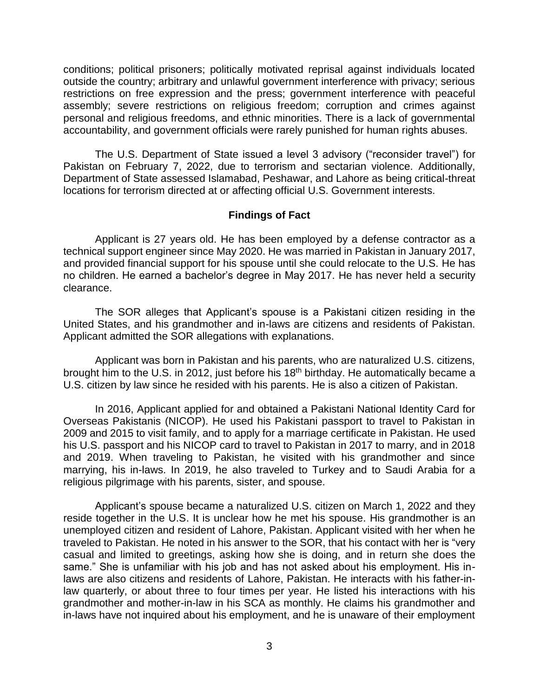conditions; political prisoners; politically motivated reprisal against individuals located restrictions on free expression and the press; government interference with peaceful assembly; severe restrictions on religious freedom; corruption and crimes against personal and religious freedoms, and ethnic minorities. There is a lack of governmental outside the country; arbitrary and unlawful government interference with privacy; serious accountability, and government officials were rarely punished for human rights abuses.

 The U.S. Department of State issued a level 3 advisory ("reconsider travel") for Pakistan on February 7, 2022, due to terrorism and sectarian violence. Additionally, locations for terrorism directed at or affecting official U.S. Government interests. Department of State assessed Islamabad, Peshawar, and Lahore as being critical-threat

#### **Findings of Fact**

 Applicant is 27 years old. He has been employed by a defense contractor as a technical support engineer since May 2020. He was married in Pakistan in January 2017, and provided financial support for his spouse until she could relocate to the U.S. He has no children. He earned a bachelor's degree in May 2017. He has never held a security clearance.

 The SOR alleges that Applicant's spouse is a Pakistani citizen residing in the United States, and his grandmother and in-laws are citizens and residents of Pakistan. Applicant admitted the SOR allegations with explanations.

Applicant was born in Pakistan and his parents, who are naturalized U.S. citizens, brought him to the U.S. in 2012, just before his 18<sup>th</sup> birthday. He automatically became a U.S. citizen by law since he resided with his parents. He is also a citizen of Pakistan.

 In 2016, Applicant applied for and obtained a Pakistani National Identity Card for Overseas Pakistanis (NICOP). He used his Pakistani passport to travel to Pakistan in 2009 and 2015 to visit family, and to apply for a marriage certificate in Pakistan. He used his U.S. passport and his NICOP card to travel to Pakistan in 2017 to marry, and in 2018 and 2019. When traveling to Pakistan, he visited with his grandmother and since marrying, his in-laws. In 2019, he also traveled to Turkey and to Saudi Arabia for a religious pilgrimage with his parents, sister, and spouse.

Applicant's spouse became a naturalized U.S. citizen on March 1, 2022 and they reside together in the U.S. It is unclear how he met his spouse. His grandmother is an unemployed citizen and resident of Lahore, Pakistan. Applicant visited with her when he traveled to Pakistan. He noted in his answer to the SOR, that his contact with her is "very casual and limited to greetings, asking how she is doing, and in return she does the same." She is unfamiliar with his job and has not asked about his employment. His inlaws are also citizens and residents of Lahore, Pakistan. He interacts with his father-inlaw quarterly, or about three to four times per year. He listed his interactions with his grandmother and mother-in-law in his SCA as monthly. He claims his grandmother and in-laws have not inquired about his employment, and he is unaware of their employment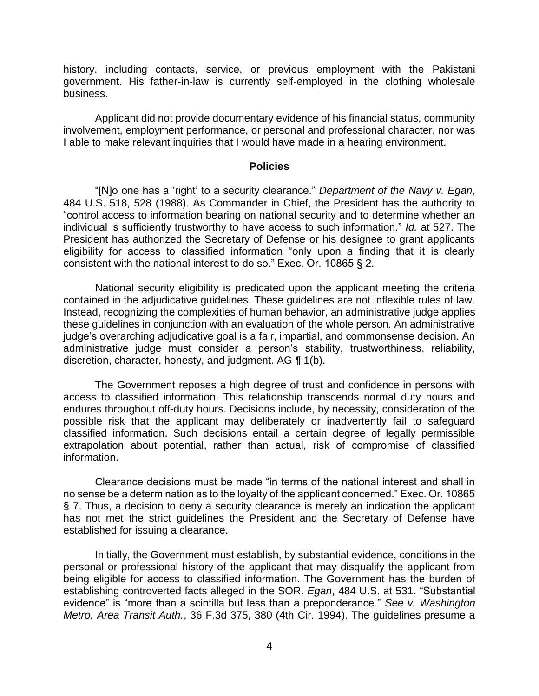history, including contacts, service, or previous employment with the Pakistani government. His father-in-law is currently self-employed in the clothing wholesale business.

 Applicant did not provide documentary evidence of his financial status, community involvement, employment performance, or personal and professional character, nor was I able to make relevant inquiries that I would have made in a hearing environment.

#### **Policies**

 "[N]o one has a 'right' to a security clearance." *Department of the Navy v. Egan*, 484 U.S. 518, 528 (1988). As Commander in Chief, the President has the authority to "control access to information bearing on national security and to determine whether an individual is sufficiently trustworthy to have access to such information." *Id.* at 527. The President has authorized the Secretary of Defense or his designee to grant applicants eligibility for access to classified information "only upon a finding that it is clearly consistent with the national interest to do so." Exec. Or. 10865 § 2.

 National security eligibility is predicated upon the applicant meeting the criteria contained in the adjudicative guidelines. These guidelines are not inflexible rules of law. Instead, recognizing the complexities of human behavior, an administrative judge applies these guidelines in conjunction with an evaluation of the whole person. An administrative administrative judge must consider a person's stability, trustworthiness, reliability, discretion, character, honesty, and judgment. AG ¶ 1(b). judge's overarching adjudicative goal is a fair, impartial, and commonsense decision. An

 The Government reposes a high degree of trust and confidence in persons with access to classified information. This relationship transcends normal duty hours and endures throughout off-duty hours. Decisions include, by necessity, consideration of the possible risk that the applicant may deliberately or inadvertently fail to safeguard classified information. Such decisions entail a certain degree of legally permissible extrapolation about potential, rather than actual, risk of compromise of classified information.

 Clearance decisions must be made "in terms of the national interest and shall in no sense be a determination as to the loyalty of the applicant concerned." Exec. Or. 10865 § 7. Thus, a decision to deny a security clearance is merely an indication the applicant has not met the strict guidelines the President and the Secretary of Defense have established for issuing a clearance.

 Initially, the Government must establish, by substantial evidence, conditions in the personal or professional history of the applicant that may disqualify the applicant from being eligible for access to classified information. The Government has the burden of establishing controverted facts alleged in the SOR. *Egan*, 484 U.S. at 531. "Substantial evidence" is "more than a scintilla but less than a preponderance." *See v. Washington Metro. Area Transit Auth.*, 36 F.3d 375, 380 (4th Cir. 1994). The guidelines presume a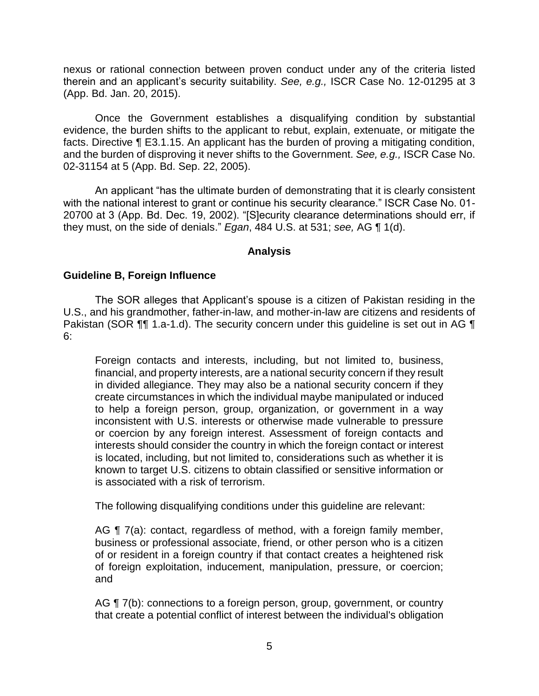nexus or rational connection between proven conduct under any of the criteria listed therein and an applicant's security suitability. *See, e.g.,* ISCR Case No. 12-01295 at 3 (App. Bd. Jan. 20, 2015).

 Once the Government establishes a disqualifying condition by substantial evidence, the burden shifts to the applicant to rebut, explain, extenuate, or mitigate the facts. Directive ¶ E3.1.15. An applicant has the burden of proving a mitigating condition, and the burden of disproving it never shifts to the Government. *See, e.g.,* ISCR Case No. 02-31154 at 5 (App. Bd. Sep. 22, 2005).

An applicant "has the ultimate burden of demonstrating that it is clearly consistent with the national interest to grant or continue his security clearance." ISCR Case No. 01- 20700 at 3 (App. Bd. Dec. 19, 2002). "[S]ecurity clearance determinations should err, if they must, on the side of denials." *Egan*, 484 U.S. at 531; *see,* AG ¶ 1(d).

### **Analysis**

### **Guideline B, Foreign Influence**

 The SOR alleges that Applicant's spouse is a citizen of Pakistan residing in the Pakistan (SOR  $\P$ ] 1.a-1.d). The security concern under this guideline is set out in AG  $\P$ U.S., and his grandmother, father-in-law, and mother-in-law are citizens and residents of 6:

Foreign contacts and interests, including, but not limited to, business, financial, and property interests, are a national security concern if they result in divided allegiance. They may also be a national security concern if they create circumstances in which the individual maybe manipulated or induced to help a foreign person, group, organization, or government in a way inconsistent with U.S. interests or otherwise made vulnerable to pressure or coercion by any foreign interest. Assessment of foreign contacts and interests should consider the country in which the foreign contact or interest is located, including, but not limited to, considerations such as whether it is known to target U.S. citizens to obtain classified or sensitive information or is associated with a risk of terrorism.

The following disqualifying conditions under this guideline are relevant:

AG ¶ 7(a): contact, regardless of method, with a foreign family member, business or professional associate, friend, or other person who is a citizen of or resident in a foreign country if that contact creates a heightened risk of foreign exploitation, inducement, manipulation, pressure, or coercion; and

AG ¶ 7(b): connections to a foreign person, group, government, or country that create a potential conflict of interest between the individual's obligation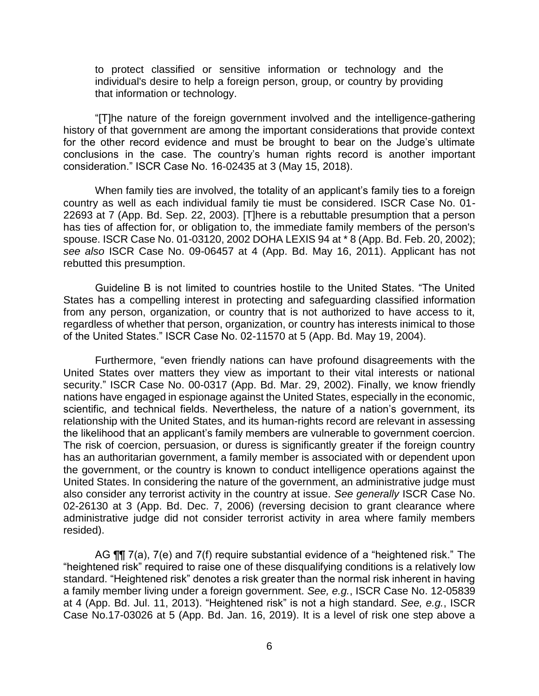to protect classified or sensitive information or technology and the individual's desire to help a foreign person, group, or country by providing that information or technology.

 "[T]he nature of the foreign government involved and the intelligence-gathering history of that government are among the important considerations that provide context for the other record evidence and must be brought to bear on the Judge's ultimate conclusions in the case. The country's human rights record is another important consideration." ISCR Case No. 16-02435 at 3 (May 15, 2018).

When family ties are involved, the totality of an applicant's family ties to a foreign country as well as each individual family tie must be considered. ISCR Case No. 01- 22693 at 7 (App. Bd. Sep. 22, 2003). [T]here is a rebuttable presumption that a person has ties of affection for, or obligation to, the immediate family members of the person's spouse. ISCR Case No. 01-03120, 2002 DOHA LEXIS 94 at \* 8 (App. Bd. Feb. 20, 2002); *see also* ISCR Case No. 09-06457 at 4 (App. Bd. May 16, 2011). Applicant has not rebutted this presumption.

 Guideline B is not limited to countries hostile to the United States. "The United States has a compelling interest in protecting and safeguarding classified information from any person, organization, or country that is not authorized to have access to it, regardless of whether that person, organization, or country has interests inimical to those of the United States." ISCR Case No. 02-11570 at 5 (App. Bd. May 19, 2004).

 Furthermore, "even friendly nations can have profound disagreements with the United States over matters they view as important to their vital interests or national security." ISCR Case No. 00-0317 (App. Bd. Mar. 29, 2002). Finally, we know friendly nations have engaged in espionage against the United States, especially in the economic, scientific, and technical fields. Nevertheless, the nature of a nation's government, its relationship with the United States, and its human-rights record are relevant in assessing the likelihood that an applicant's family members are vulnerable to government coercion. The risk of coercion, persuasion, or duress is significantly greater if the foreign country has an authoritarian government, a family member is associated with or dependent upon the government, or the country is known to conduct intelligence operations against the United States. In considering the nature of the government, an administrative judge must also consider any terrorist activity in the country at issue. *See generally* ISCR Case No. 02-26130 at 3 (App. Bd. Dec. 7, 2006) (reversing decision to grant clearance where administrative judge did not consider terrorist activity in area where family members resided).

AG ¶¶ 7(a), 7(e) and 7(f) require substantial evidence of a "heightened risk." The "heightened risk" required to raise one of these disqualifying conditions is a relatively low standard. "Heightened risk" denotes a risk greater than the normal risk inherent in having Case No.17-03026 at 5 (App. Bd. Jan. 16, 2019). It is a level of risk one step above a a family member living under a foreign government. *See, e.g.*, ISCR Case No. 12-05839 at 4 (App. Bd. Jul. 11, 2013). "Heightened risk" is not a high standard. *See, e.g.*, ISCR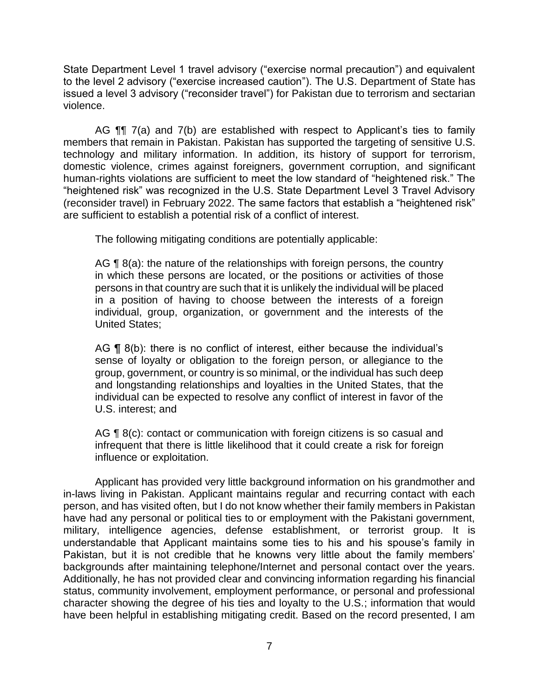State Department Level 1 travel advisory ("exercise normal precaution") and equivalent to the level 2 advisory ("exercise increased caution"). The U.S. Department of State has issued a level 3 advisory ("reconsider travel") for Pakistan due to terrorism and sectarian violence.

AG **[1]** 7(a) and 7(b) are established with respect to Applicant's ties to family technology and military information. In addition, its history of support for terrorism, domestic violence, crimes against foreigners, government corruption, and significant human-rights violations are sufficient to meet the low standard of "heightened risk." The "heightened risk" was recognized in the U.S. State Department Level 3 Travel Advisory (reconsider travel) in February 2022. The same factors that establish a "heightened risk" members that remain in Pakistan. Pakistan has supported the targeting of sensitive U.S. are sufficient to establish a potential risk of a conflict of interest.

The following mitigating conditions are potentially applicable:

AG  $\P$  8(a): the nature of the relationships with foreign persons, the country in which these persons are located, or the positions or activities of those persons in that country are such that it is unlikely the individual will be placed in a position of having to choose between the interests of a foreign individual, group, organization, or government and the interests of the United States;

AG ¶ 8(b): there is no conflict of interest, either because the individual's sense of loyalty or obligation to the foreign person, or allegiance to the group, government, or country is so minimal, or the individual has such deep and longstanding relationships and loyalties in the United States, that the individual can be expected to resolve any conflict of interest in favor of the U.S. interest; and

AG ¶ 8(c): contact or communication with foreign citizens is so casual and infrequent that there is little likelihood that it could create a risk for foreign influence or exploitation.

Applicant has provided very little background information on his grandmother and in-laws living in Pakistan. Applicant maintains regular and recurring contact with each person, and has visited often, but I do not know whether their family members in Pakistan have had any personal or political ties to or employment with the Pakistani government, military, intelligence agencies, defense establishment, or terrorist group. It is understandable that Applicant maintains some ties to his and his spouse's family in Pakistan, but it is not credible that he knowns very little about the family members' backgrounds after maintaining telephone/Internet and personal contact over the years. Additionally, he has not provided clear and convincing information regarding his financial status, community involvement, employment performance, or personal and professional character showing the degree of his ties and loyalty to the U.S.; information that would have been helpful in establishing mitigating credit. Based on the record presented, I am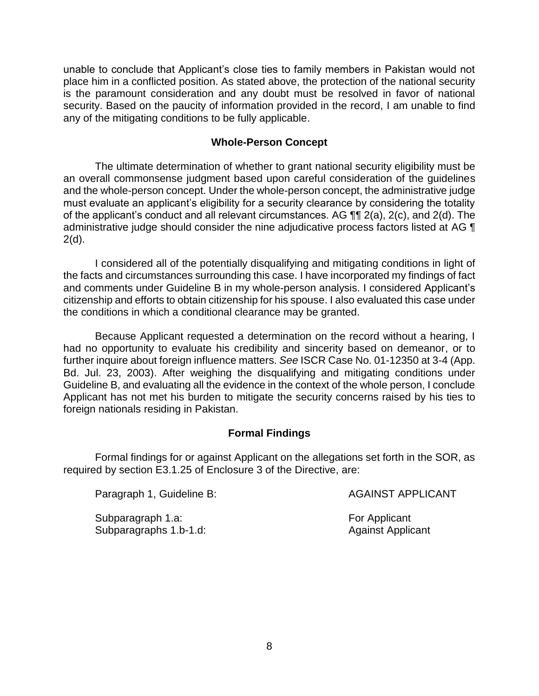unable to conclude that Applicant's close ties to family members in Pakistan would not place him in a conflicted position. As stated above, the protection of the national security is the paramount consideration and any doubt must be resolved in favor of national security. Based on the paucity of information provided in the record, I am unable to find any of the mitigating conditions to be fully applicable.

### **Whole-Person Concept**

 The ultimate determination of whether to grant national security eligibility must be an overall commonsense judgment based upon careful consideration of the guidelines and the whole-person concept. Under the whole-person concept, the administrative judge must evaluate an applicant's eligibility for a security clearance by considering the totality of the applicant's conduct and all relevant circumstances. AG  $\P\P$  2(a), 2(c), and 2(d). The administrative judge should consider the nine adjudicative process factors listed at AG ¶  $2(d)$ .

 I considered all of the potentially disqualifying and mitigating conditions in light of the facts and circumstances surrounding this case. I have incorporated my findings of fact citizenship and efforts to obtain citizenship for his spouse. I also evaluated this case under and comments under Guideline B in my whole-person analysis. I considered Applicant's the conditions in which a conditional clearance may be granted.

 Because Applicant requested a determination on the record without a hearing, I had no opportunity to evaluate his credibility and sincerity based on demeanor, or to further inquire about foreign influence matters. *See* ISCR Case No. 01-12350 at 3-4 (App. Bd. Jul. 23, 2003). After weighing the disqualifying and mitigating conditions under Guideline B, and evaluating all the evidence in the context of the whole person, I conclude Applicant has not met his burden to mitigate the security concerns raised by his ties to foreign nationals residing in Pakistan.

## **Formal Findings**

 Formal findings for or against Applicant on the allegations set forth in the SOR, as required by section E3.1.25 of Enclosure 3 of the Directive, are:

Paragraph 1, Guideline B: AGAINST APPLICANT

Subparagraph 1.a: For Applicant Subparagraphs 1.b-1.d: Against Applicant